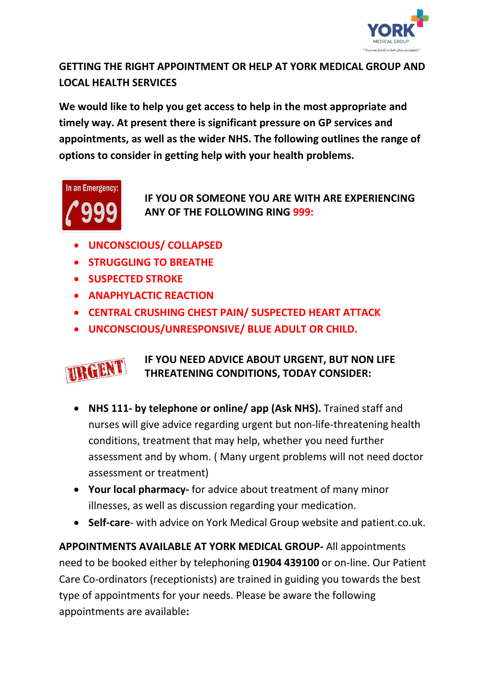

## **GETTING THE RIGHT APPOINTMENT OR HELP AT YORK MEDICAL GROUP AND LOCAL HEALTH SERVICES**

**We would like to help you get access to help in the most appropriate and timely way. At present there is significant pressure on GP services and appointments, as well as the wider NHS. The following outlines the range of options to consider in getting help with your health problems.**



**IF YOU OR SOMEONE YOU ARE WITH ARE EXPERIENCING ANY OF THE FOLLOWING RING 999:**

- **UNCONSCIOUS/ COLLAPSED**
- **STRUGGLING TO BREATHE**
- **SUSPECTED STROKE**
- **ANAPHYLACTIC REACTION**
- **CENTRAL CRUSHING CHEST PAIN/ SUSPECTED HEART ATTACK**
- **UNCONSCIOUS/UNRESPONSIVE/ BLUE ADULT OR CHILD.**



## **IF YOU NEED ADVICE ABOUT URGENT, BUT NON LIFE THREATENING CONDITIONS, TODAY CONSIDER:**

- **NHS 111- by telephone or online/ app (Ask NHS).** Trained staff and nurses will give advice regarding urgent but non-life-threatening health conditions, treatment that may help, whether you need further assessment and by whom. ( Many urgent problems will not need doctor assessment or treatment)
- **Your local pharmacy-** for advice about treatment of many minor illnesses, as well as discussion regarding your medication.
- **Self-care** with advice on York Medical Group website and patient.co.uk.

**APPOINTMENTS AVAILABLE AT YORK MEDICAL GROUP-** All appointments need to be booked either by telephoning **01904 439100** or on-line. Our Patient Care Co-ordinators (receptionists) are trained in guiding you towards the best type of appointments for your needs. Please be aware the following appointments are available**:**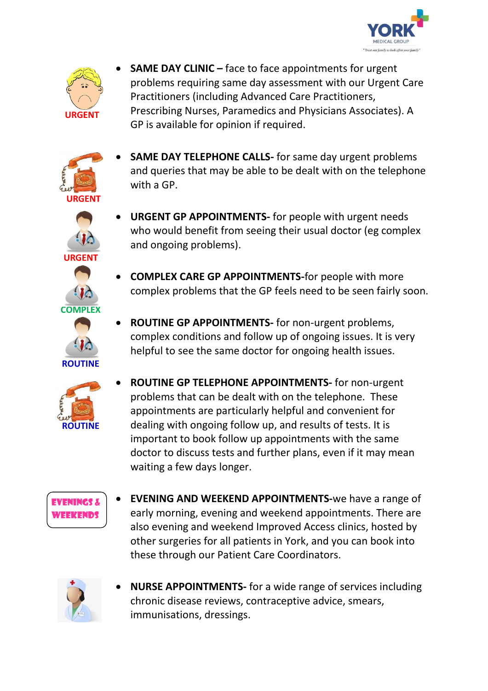



**SAME DAY CLINIC –** face to face appointments for urgent problems requiring same day assessment with our Urgent Care Practitioners (including Advanced Care Practitioners, Prescribing Nurses, Paramedics and Physicians Associates). A GP is available for opinion if required.



- **SAME DAY TELEPHONE CALLS-** for same day urgent problems and queries that may be able to be dealt with on the telephone with a GP.
- **URGENT GP APPOINTMENTS-** for people with urgent needs who would benefit from seeing their usual doctor (eg complex and ongoing problems).

**COMPLEX CARE GP APPOINTMENTS-**for people with more

- **URGENT COMPLEX**
	- **ROUTINE**



- complex problems that the GP feels need to be seen fairly soon.
- **ROUTINE GP APPOINTMENTS-** for non-urgent problems, complex conditions and follow up of ongoing issues. It is very helpful to see the same doctor for ongoing health issues.
- **ROUTINE GP TELEPHONE APPOINTMENTS-** for non-urgent problems that can be dealt with on the telephone. These appointments are particularly helpful and convenient for dealing with ongoing follow up, and results of tests. It is important to book follow up appointments with the same doctor to discuss tests and further plans, even if it may mean waiting a few days longer.



 **EVENING AND WEEKEND APPOINTMENTS-**we have a range of early morning, evening and weekend appointments. There are also evening and weekend Improved Access clinics, hosted by other surgeries for all patients in York, and you can book into these through our Patient Care Coordinators.



 **NURSE APPOINTMENTS-** for a wide range of services including chronic disease reviews, contraceptive advice, smears, immunisations, dressings.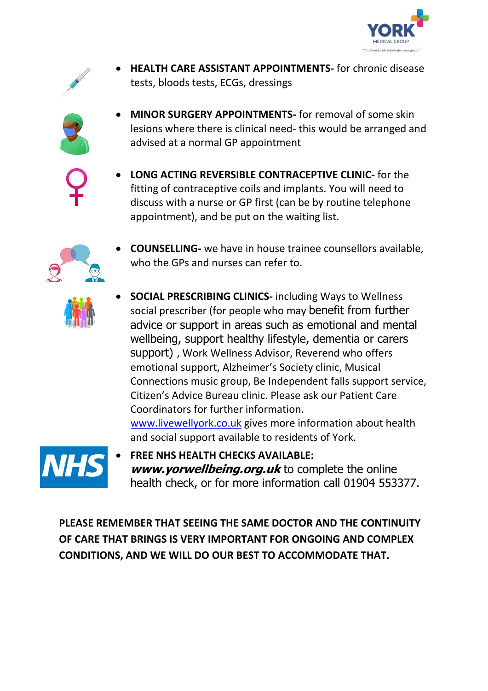



 **HEALTH CARE ASSISTANT APPOINTMENTS-** for chronic disease tests, bloods tests, ECGs, dressings



- **MINOR SURGERY APPOINTMENTS-** for removal of some skin lesions where there is clinical need- this would be arranged and advised at a normal GP appointment
- 
- **LONG ACTING REVERSIBLE CONTRACEPTIVE CLINIC-** for the fitting of contraceptive coils and implants. You will need to discuss with a nurse or GP first (can be by routine telephone appointment), and be put on the waiting list.



 **COUNSELLING-** we have in house trainee counsellors available, who the GPs and nurses can refer to.



 **SOCIAL PRESCRIBING CLINICS-** including Ways to Wellness social prescriber (for people who may benefit from further advice or support in areas such as emotional and mental wellbeing, support healthy lifestyle, dementia or carers support) , Work Wellness Advisor, Reverend who offers emotional support, Alzheimer's Society clinic, Musical Connections music group, Be Independent falls support service, Citizen's Advice Bureau clinic. Please ask our Patient Care Coordinators for further information. [www.livewellyork.co.uk](http://www.livewellyork.co.uk/) gives more information about health

and social support available to residents of York.



 **FREE NHS HEALTH CHECKS AVAILABLE: [www.yorwellbeing.org.uk](http://www.yorwellbeing.org.uk/)** to complete the online health check, or for more information call 01904 553377.

**PLEASE REMEMBER THAT SEEING THE SAME DOCTOR AND THE CONTINUITY OF CARE THAT BRINGS IS VERY IMPORTANT FOR ONGOING AND COMPLEX CONDITIONS, AND WE WILL DO OUR BEST TO ACCOMMODATE THAT.**